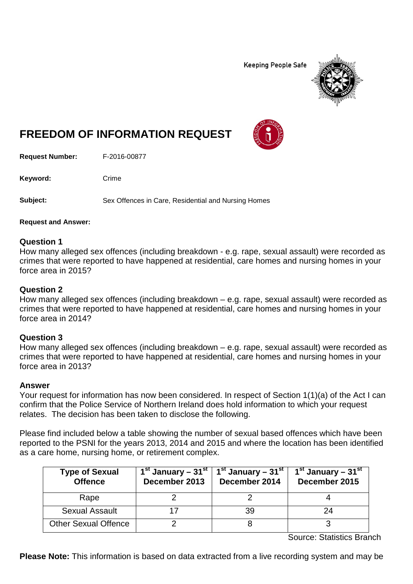**Keeping People Safe** 



# **FREEDOM OF INFORMATION REQUEST**

**Request Number:** F-2016-00877

Keyword: Crime

**Subject:** Sex Offences in Care, Residential and Nursing Homes

**Request and Answer:**

## **Question 1**

How many alleged sex offences (including breakdown - e.g. rape, sexual assault) were recorded as crimes that were reported to have happened at residential, care homes and nursing homes in your force area in 2015?

## **Question 2**

How many alleged sex offences (including breakdown – e.g. rape, sexual assault) were recorded as crimes that were reported to have happened at residential, care homes and nursing homes in your force area in 2014?

## **Question 3**

How many alleged sex offences (including breakdown – e.g. rape, sexual assault) were recorded as crimes that were reported to have happened at residential, care homes and nursing homes in your force area in 2013?

## **Answer**

Your request for information has now been considered. In respect of Section 1(1)(a) of the Act I can confirm that the Police Service of Northern Ireland does hold information to which your request relates. The decision has been taken to disclose the following.

Please find included below a table showing the number of sexual based offences which have been reported to the PSNI for the years 2013, 2014 and 2015 and where the location has been identified as a care home, nursing home, or retirement complex.

| <b>Type of Sexual</b><br><b>Offence</b> | $1st$ January – 31 $st$  <br>December 2013 | 1 <sup>st</sup> January – 31 <sup>st</sup><br>December 2014 | $1st$ January – 31 <sup>st</sup><br>December 2015 |
|-----------------------------------------|--------------------------------------------|-------------------------------------------------------------|---------------------------------------------------|
| Rape                                    |                                            |                                                             |                                                   |
| <b>Sexual Assault</b>                   |                                            | 39                                                          | 24                                                |
| <b>Other Sexual Offence</b>             |                                            |                                                             |                                                   |

Source: Statistics Branch

**Please Note:** This information is based on data extracted from a live recording system and may be